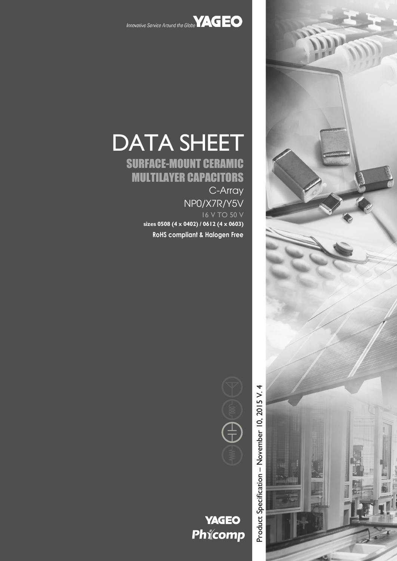



# DATA SHEET SURFACE-MOUNT CERAMIC MULTILAYER CAPACITORS

C-Array NP0/X7R/Y5V 16 V TO 50 V **sizes 0508 (4 x 0402) / 0612 (4 x 0603)**

**RoHS compliant & Halogen Free**



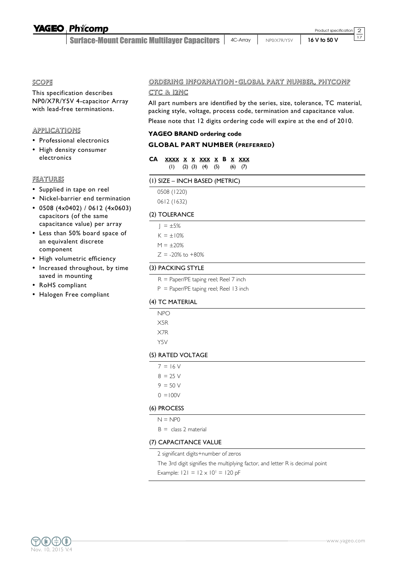**Surface-Mount Ceramic Multilayer Capacitors | 4C-Array** 

2  $\overline{17}$ Product specification

## SCOPE

This specification describes NP0/X7R/Y5V 4-capacitor Array with lead-free terminations.

# APPLICATIONS

- Professional electronics
- High density consumer electronics

# FEATURES

- Supplied in tape on reel
- Nickel-barrier end termination
- 0508 (4x0402) / 0612 (4x0603) capacitors (of the same capacitance value) per array
- Less than 50% board space of an equivalent discrete component
- High volumetric efficiency
- Increased throughout, by time saved in mounting
- RoHS compliant
- Halogen Free compliant

# ORDERING INFORMATION - GLOBAL PART NUMBER, PHYCOMP

# CTC & 12NC

All part numbers are identified by the series, size, tolerance, TC material, packing style, voltage, process code, termination and capacitance value.

Please note that 12 digits ordering code will expire at the end of 2010.

## **YAGEO BRAND ordering code**

# **GLOBAL PART NUMBER (PREFERRED)**

- **CA XXXX X X XXX X B X XXX** (1) (2) (3) (4) (5) (6) (7)
- (1) SIZE INCH BASED (METRIC)
	- 0508 (1220)
	- 0612 (1632)

# (2) TOLERANCE

 $| = \pm 5\%$  $K = \pm 10\%$  $M = \pm 20%$  $Z = -20\%$  to  $+80\%$ 

# (3) PACKING STYLE

- R = Paper/PE taping reel; Reel 7 inch
- P = Paper/PE taping reel; Reel 13 inch

### (4) TC MATERIAL

- NPO
- X5R X7R
- Y5V
- 

# (5) RATED VOLTAGE

- $7 = 16 V$
- $8 = 25 V$
- $9 = 50 V$
- $0 = 100V$

### (6) PROCESS

- $N = NP0$
- $B =$  class 2 material

# (7) CAPACITANCE VALUE

2 significant digits+number of zeros

The 3rd digit signifies the multiplying factor, and letter R is decimal point

Example:  $|21 = 12 \times 10^{1} = 120$  pF

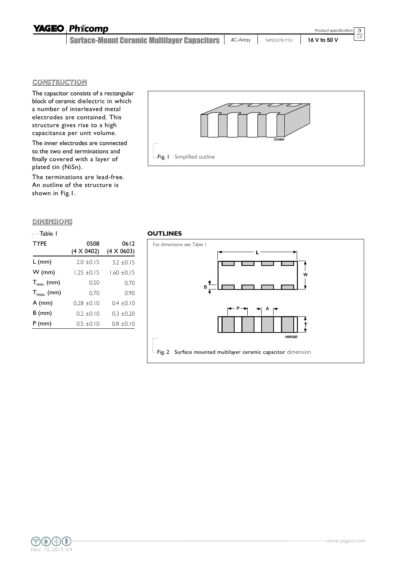| <b>YAGEO Phicomp</b>                                   |             | Product specification $\boxed{3}$ |            |
|--------------------------------------------------------|-------------|-----------------------------------|------------|
| Surface-Mount Ceramic Multilayer Capacitors   4C-Array | NPO/X7R/Y5V | 16 V to 50 V                      | $\vert$ 17 |

Fig. I Simplified outline

### **CONSTRUCTION**

The capacitor consists of a rectangular block of ceramic dielectric in which a number of interleaved metal electrodes are contained. This structure gives rise to a high capacitance per unit volume.

The inner electrodes are connected to the two end terminations and finally covered with a layer of plated tin (NiSn).

The terminations are lead-free. An outline of the structure is shown in Fig.1.

#### **DIMENSIONS**

| —Table I              |                   |                   |
|-----------------------|-------------------|-------------------|
| <b>TYPE</b>           | 0508              | 0612              |
|                       | $(4 \times 0402)$ | $(4 \times 0603)$ |
| L (mm)                | $2.0 \pm 0.15$    | $3.2 \pm 0.15$    |
| $W$ (mm)              | $1.25 \pm 0.15$   | $1.60 \pm 0.15$   |
| $T_{min.}$ (mm)       | 0.50              | 0.70              |
| $T_{\text{max}}$ (mm) | 0.70              | 0.90              |
| $A$ (mm)              | $0.28 + 0.10$     | $0.4 \pm 0.10$    |
| $B$ (mm)              | $0.2 \pm 0.10$    | $0.3 \pm 0.20$    |
| $P$ (mm)              | $0.5 \pm 0.10$    | $0.8 \pm 0.10$    |





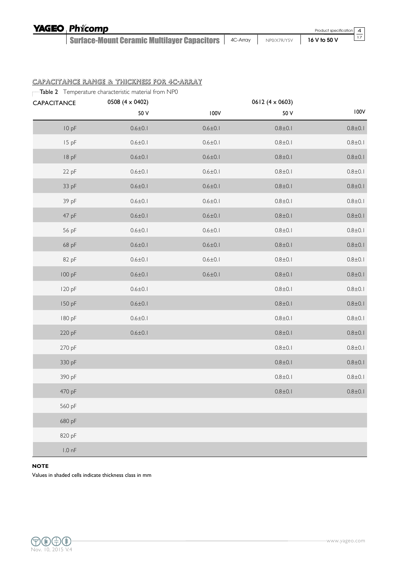| <b>YAGEO Phicomp</b>                                   |             | Product specification 4 |  |
|--------------------------------------------------------|-------------|-------------------------|--|
| Surface-Mount Ceramic Multilayer Capacitors   4C-Array | NP0/X7R/Y5V | 16 V to 50 V            |  |

# CAPACITANCE RANGE & THICKNESS FOR 4C-ARRAY

Table 2 Temperature characteristic material from NP0

| CAPACITANCE      | 0508 (4 $\times$ 0402) |               | $0612(4 \times 0603)$ |               |
|------------------|------------------------|---------------|-----------------------|---------------|
|                  | 50 V                   | 100V          | 50 V                  | 100V          |
| 10 pF            | $0.6 \pm 0.1$          | $0.6 \pm 0.1$ | $0.8 + 0.1$           | $0.8 \pm 0.1$ |
| 15 pF            | $0.6 \pm 0.1$          | $0.6 \pm 0.1$ | $0.8 + 0.1$           | $0.8 + 0.1$   |
| 18pF             | $0.6 \pm 0.1$          | $0.6 \pm 0.1$ | $0.8 + 0.1$           | $0.8 + 0.1$   |
| 22 pF            | $0.6 \pm 0.1$          | $0.6 \pm 0.1$ | $0.8 + 0.1$           | $0.8 + 0.1$   |
| 33 pF            | $0.6 \pm 0.1$          | $0.6 \pm 0.1$ | $0.8 + 0.1$           | $0.8 + 0.1$   |
| 39 pF            | $0.6 \pm 0.1$          | $0.6 \pm 0.1$ | $0.8 + 0.1$           | $0.8 + 0.1$   |
| 47 pF            | $0.6 \pm 0.1$          | $0.6 \pm 0.1$ | $0.8 + 0.1$           | $0.8 \pm 0.1$ |
| 56 pF            | $0.6 \pm 0.1$          | $0.6 \pm 0.1$ | $0.8 + 0.1$           | $0.8 + 0.1$   |
| 68 pF            | $0.6 \pm 0.1$          | $0.6 \pm 0.1$ | $0.8 + 0.1$           | $0.8 + 0.1$   |
| 82 pF            | $0.6 \pm 0.1$          | $0.6 \pm 0.1$ | $0.8 + 0.1$           | $0.8 + 0.1$   |
| 100 pF           | $0.6 \pm 0.1$          | $0.6 \pm 0.1$ | $0.8 + 0.1$           | $0.8 + 0.1$   |
| 120 pF           | $0.6 \pm 0.1$          |               | $0.8 + 0.1$           | $0.8 + 0.1$   |
| 150 pF           | $0.6 \pm 0.1$          |               | $0.8 + 0.1$           | $0.8 + 0.1$   |
| 180 pF           | $0.6 \pm 0.1$          |               | $0.8 + 0.1$           | $0.8 + 0.1$   |
| 220 pF           | $0.6 \pm 0.1$          |               | $0.8 + 0.1$           | $0.8 + 0.1$   |
| 270 pF           |                        |               | $0.8 + 0.1$           | $0.8 + 0.1$   |
| 330 pF           |                        |               | $0.8 + 0.1$           | $0.8 + 0.1$   |
| 390 pF           |                        |               | $0.8 + 0.1$           | $0.8 + 0.1$   |
| 470 pF           |                        |               | $0.8 + 0.1$           | $0.8 + 0.1$   |
| 560 pF           |                        |               |                       |               |
| 680 pF           |                        |               |                       |               |
| 820 pF           |                        |               |                       |               |
| $1.0 \text{ nF}$ |                        |               |                       |               |

#### **NOTE**

Values in shaded cells indicate thickness class in mm

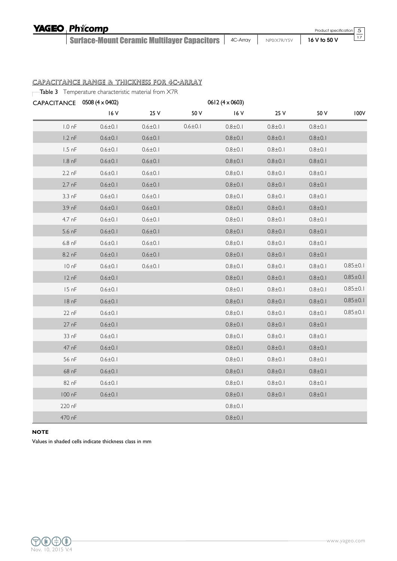Surface-Mount Ceramic Multilayer Capacitors 4C-Array NP0/X7R/Y5V **16 V to 50 V**

5 17

CAPACITANCE RANGE & THICKNESS FOR 4C-ARRAY

Table 3 Temperature characteristic material from X7R

| CAPACITANCE 0508 (4 x 0402) |               |               |               | $0612(4 \times 0603)$ |             |             |                |
|-----------------------------|---------------|---------------|---------------|-----------------------|-------------|-------------|----------------|
|                             | 16 V          | 25 V          | 50 V          | 16 V                  | 25 V        | 50 V        | 100V           |
| $1.0 \text{ nF}$            | $0.6 \pm 0.1$ | $0.6 \pm 0.1$ | $0.6 \pm 0.1$ | $0.8 + 0.1$           | $0.8 + 0.1$ | $0.8 + 0.1$ |                |
| $1.2 \text{ nF}$            | $0.6 \pm 0.1$ | $0.6 \pm 0.1$ |               | $0.8 \pm 0.1$         | $0.8 + 0.1$ | $0.8 + 0.1$ |                |
| $1.5$ nF                    | $0.6 \pm 0.1$ | $0.6 \pm 0.1$ |               | $0.8 \pm 0.1$         | $0.8 + 0.1$ | $0.8 + 0.1$ |                |
| $1.8 \text{ nF}$            | $0.6 \pm 0.1$ | $0.6 \pm 0.1$ |               | $0.8 \pm 0.1$         | $0.8 + 0.1$ | $0.8 + 0.1$ |                |
| $2.2 \text{ nF}$            | $0.6 \pm 0.1$ | $0.6 \pm 0.1$ |               | $0.8 + 0.1$           | $0.8 + 0.1$ | $0.8 + 0.1$ |                |
| $2.7$ nF                    | $0.6 \pm 0.1$ | $0.6 \pm 0.1$ |               | $0.8 + 0.1$           | $0.8 + 0.1$ | $0.8 + 0.1$ |                |
| $3.3 \text{ nF}$            | $0.6 \pm 0.1$ | $0.6 \pm 0.1$ |               | $0.8 \pm 0.1$         | $0.8 + 0.1$ | $0.8 + 0.1$ |                |
| $3.9 \text{ nF}$            | $0.6 \pm 0.1$ | $0.6 \pm 0.1$ |               | $0.8 + 0.1$           | $0.8 + 0.1$ | $0.8 + 0.1$ |                |
| 4.7 nF                      | $0.6 \pm 0.1$ | $0.6 \pm 0.1$ |               | $0.8 \pm 0.1$         | $0.8 + 0.1$ | $0.8 + 0.1$ |                |
| $5.6$ nF                    | $0.6 \pm 0.1$ | $0.6 \pm 0.1$ |               | $0.8 \pm 0.1$         | $0.8 + 0.1$ | $0.8 + 0.1$ |                |
| $6.8$ nF                    | $0.6 \pm 0.1$ | $0.6 \pm 0.1$ |               | $0.8 \pm 0.1$         | $0.8 + 0.1$ | $0.8 + 0.1$ |                |
| 8.2 nF                      | $0.6 \pm 0.1$ | $0.6 \pm 0.1$ |               | $0.8 + 0.1$           | $0.8 + 0.1$ | $0.8 + 0.1$ |                |
| 10nF                        | $0.6 \pm 0.1$ | $0.6 \pm 0.1$ |               | $0.8 \pm 0.1$         | $0.8 + 0.1$ | $0.8 + 0.1$ | $0.85 \pm 0.1$ |
| 12 nF                       | $0.6 \pm 0.1$ |               |               | $0.8 \pm 0.1$         | $0.8 + 0.1$ | $0.8 + 0.1$ | $0.85 \pm 0.1$ |
| 15 nF                       | $0.6 \pm 0.1$ |               |               | $0.8 + 0.1$           | $0.8 + 0.1$ | $0.8 + 0.1$ | $0.85 \pm 0.1$ |
| 18 <sub>nF</sub>            | $0.6 \pm 0.1$ |               |               | $0.8 + 0.1$           | $0.8 + 0.1$ | $0.8 + 0.1$ | $0.85 \pm 0.1$ |
| 22 nF                       | $0.6 \pm 0.1$ |               |               | $0.8 + 0.1$           | $0.8 + 0.1$ | $0.8 + 0.1$ | $0.85 \pm 0.1$ |
| 27 <sub>nf</sub>            | $0.6 \pm 0.1$ |               |               | $0.8 \pm 0.1$         | $0.8 + 0.1$ | $0.8 + 0.1$ |                |
| 33 nF                       | $0.6 \pm 0.1$ |               |               | $0.8 + 0.1$           | $0.8 + 0.1$ | $0.8 + 0.1$ |                |
| 47 nF                       | $0.6 \pm 0.1$ |               |               | $0.8 \pm 0.1$         | $0.8 + 0.1$ | $0.8 + 0.1$ |                |
| 56 nF                       | $0.6 \pm 0.1$ |               |               | $0.8 + 0.1$           | $0.8 + 0.1$ | $0.8 + 0.1$ |                |
| 68 nF                       | $0.6 \pm 0.1$ |               |               | $0.8 \pm 0.1$         | $0.8 + 0.1$ | $0.8 + 0.1$ |                |
| 82 nF                       | $0.6 \pm 0.1$ |               |               | $0.8 \pm 0.1$         | $0.8 + 0.1$ | $0.8 + 0.1$ |                |
| 100 nF                      | $0.6 \pm 0.1$ |               |               | $0.8 + 0.1$           | $0.8 + 0.1$ | $0.8 + 0.1$ |                |
| 220 nF                      |               |               |               | $0.8 + 0.1$           |             |             |                |
| 470 nF                      |               |               |               | $0.8 + 0.1$           |             |             |                |

#### **NOTE**

Values in shaded cells indicate thickness class in mm

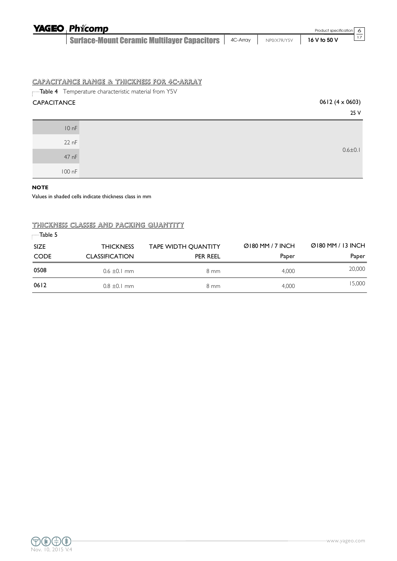| <b>YAGEO Phicomp</b>                                                        |  | Product specification 6 |  |
|-----------------------------------------------------------------------------|--|-------------------------|--|
| <b>Surface-Mount Ceramic Multilayer Capacitors   4C-Array   NPO/X7R/Y5V</b> |  | $16V$ to 50 V           |  |

#### CAPACITANCE RANGE & THICKNESS FOR 4C-ARRAY

Table 4 Temperature characteristic material from Y5V

# $CAPACITANCE$  0612 (4 x 0603)

| 25 V          |        |
|---------------|--------|
|               | 10 nF  |
|               | 22 nF  |
| $0.6 \pm 0.1$ | 47 nF  |
|               | 100 nF |

#### **NOTE**

Values in shaded cells indicate thickness class in mm

## THICKNESS CLASSES AND PACKING QUANTITY

| $\blacksquare$ Table 5 |                       |                            |                  |                      |
|------------------------|-----------------------|----------------------------|------------------|----------------------|
| <b>SIZE</b>            | <b>THICKNESS</b>      | <b>TAPE WIDTH QUANTITY</b> | Ø180 MM / 7 INCH | $Q$ 180 MM / 13 INCH |
| <b>CODE</b>            | <b>CLASSIFICATION</b> | PER REEL                   | Paper            | Paper                |
| 0508                   | $0.6 \pm 0.1$ mm      | 8 mm                       | 4.000            | 20,000               |
| 0612                   | $0.8 \pm 0.1$ mm      | 8 mm                       | 4.000            | 15,000               |

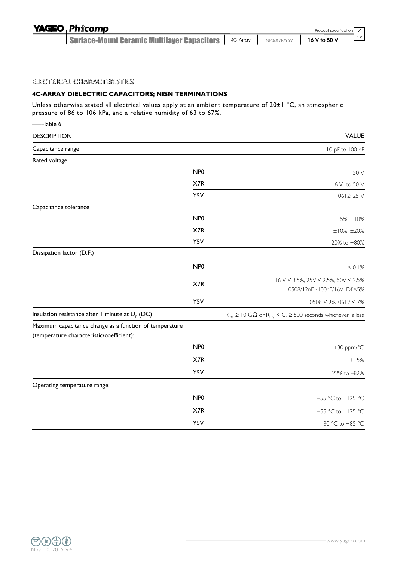| <b>YAGEO Phicomp</b>                                   |             | Product specification 7 |  |
|--------------------------------------------------------|-------------|-------------------------|--|
| Surface-Mount Ceramic Multilayer Capacitors   4C-Array | NP0/X7R/Y5V | 16 V to 50 V            |  |
|                                                        |             |                         |  |

#### ELECTRICAL CHARACTERISTICS

## **4C-ARRAY DIELECTRIC CAPACITORS; NISN TERMINATIONS**

Unless otherwise stated all electrical values apply at an ambient temperature of 20±1 °C, an atmospheric pressure of 86 to 106 kPa, and a relative humidity of 63 to 67%.

| Table 6                                                                                              |                 |                                                                                                            |
|------------------------------------------------------------------------------------------------------|-----------------|------------------------------------------------------------------------------------------------------------|
| <b>DESCRIPTION</b>                                                                                   |                 | <b>VALUE</b>                                                                                               |
| Capacitance range                                                                                    |                 | 10 pF to 100 nF                                                                                            |
| Rated voltage                                                                                        |                 |                                                                                                            |
|                                                                                                      | NP <sub>0</sub> | 50 V                                                                                                       |
|                                                                                                      | X7R             | 16 V to 50 V                                                                                               |
|                                                                                                      | Y5V             | 0612:25 V                                                                                                  |
| Capacitance tolerance                                                                                |                 |                                                                                                            |
|                                                                                                      | NP <sub>0</sub> | $\pm 5\%$ , $\pm 10\%$                                                                                     |
|                                                                                                      | X7R             | $±10\%, ±20\%$                                                                                             |
|                                                                                                      | Y5V             | $-20\%$ to $+80\%$                                                                                         |
| Dissipation factor (D.F.)                                                                            |                 |                                                                                                            |
|                                                                                                      | NP <sub>0</sub> | $\leq 0.1\%$                                                                                               |
|                                                                                                      | X7R             | $16 \text{ V} \leq 3.5\%, 25 \text{ V} \leq 2.5\%, 50 \text{ V} \leq 2.5\%$<br>0508/12nF~100nF/16V, Df ≤5% |
|                                                                                                      | Y5V             | $0508 \le 9\%, 0612 \le 7\%$                                                                               |
| Insulation resistance after 1 minute at $U_r$ (DC)                                                   |                 | $R_{ins} \ge 10$ G $\Omega$ or $R_{ins} \times C_r \ge 500$ seconds whichever is less                      |
| Maximum capacitance change as a function of temperature<br>(temperature characteristic/coefficient): |                 |                                                                                                            |
|                                                                                                      | NP <sub>0</sub> | ±30 ppm/°C                                                                                                 |
|                                                                                                      | X7R             | $\pm15\%$                                                                                                  |
|                                                                                                      | Y5V             | $+22\%$ to $-82\%$                                                                                         |
| Operating temperature range:                                                                         |                 |                                                                                                            |
|                                                                                                      | NP <sub>0</sub> | -55 °C to +125 °C                                                                                          |
|                                                                                                      | X7R             | -55 °C to +125 °C                                                                                          |
|                                                                                                      | Y5V             | $-30$ °C to +85 °C                                                                                         |

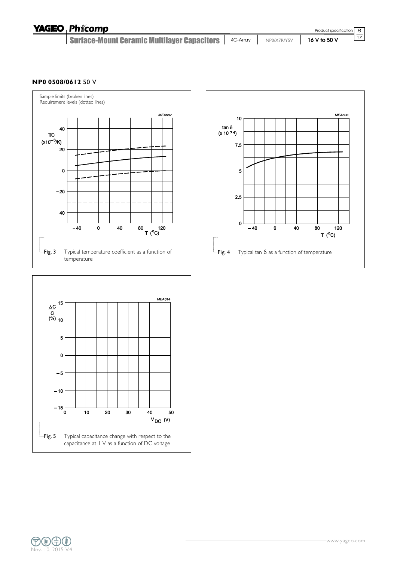| <b>YAGEO Phicomp</b>                                                                |  | Product specification $\boxed{8}$ |            |
|-------------------------------------------------------------------------------------|--|-----------------------------------|------------|
| Surface-Mount Ceramic Multilayer Capacitors   4C-Array   NPO/X7R/Y5V   16 V to 50 V |  |                                   | $\vert$ 17 |

#### **NP0 0508/0612** 50 V





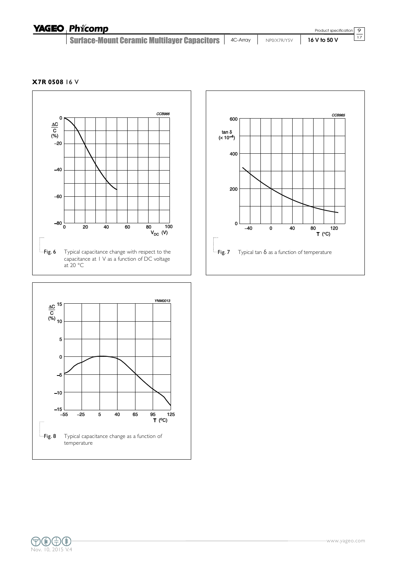| <b>YAGEO Phicomp</b>                                   |             | Product specification 9 |  |
|--------------------------------------------------------|-------------|-------------------------|--|
| Surface-Mount Ceramic Multilayer Capacitors   4C-Array | NP0/X7R/Y5V | $16V$ to 50 V           |  |

**X7R 0508** 16 V







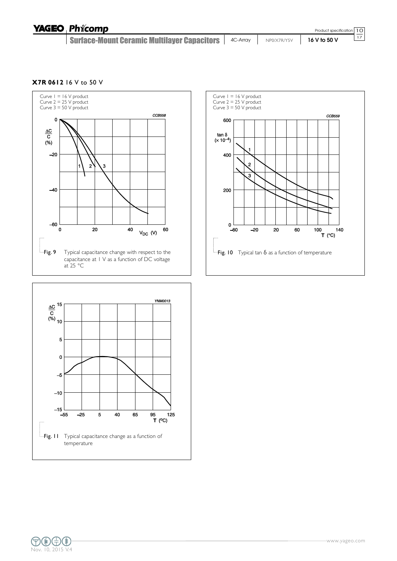| <b>YAGEO Phicomp</b>                                                                |  | Product specification 10 |    |
|-------------------------------------------------------------------------------------|--|--------------------------|----|
| Surface-Mount Ceramic Multilayer Capacitors   4C-Array   NPO/X7R/Y5V   16 V to 50 V |  |                          | 17 |

**X7R 0612** 16 V to 50 V







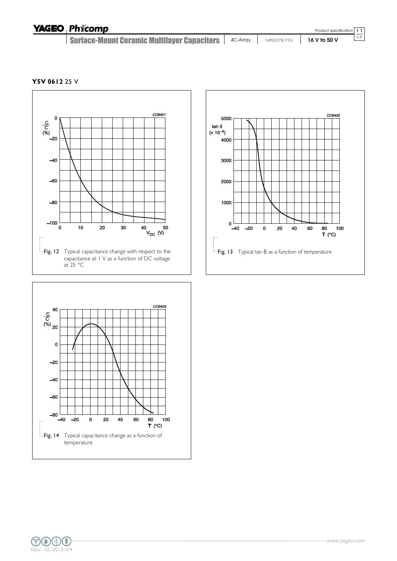| <b>YAGEO Phicomp</b>                                                                |  | Product specification 11 |  |
|-------------------------------------------------------------------------------------|--|--------------------------|--|
| Surface-Mount Ceramic Multilayer Capacitors   4C-Array   NPO/X7R/Y5V   16 V to 50 V |  | 17                       |  |

**Y5V 0612** 25 V







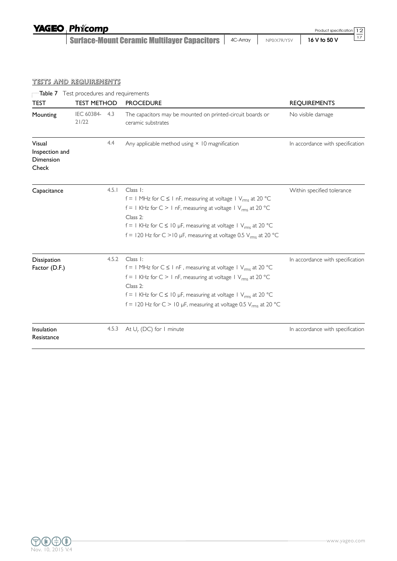| <b>YAGEO Phicomp</b>                                   |             | Product specification 12 |
|--------------------------------------------------------|-------------|--------------------------|
| Surface-Mount Ceramic Multilayer Capacitors   4C-Array | NP0/X7R/Y5V | 16 V to 50 V             |
|                                                        |             |                          |

# TESTS AND REQUIREMENTS

|                                                | Table 7 Test procedures and requirements |       |                                                                                                                                                                                                                                                                                                                                                      |                                  |  |  |
|------------------------------------------------|------------------------------------------|-------|------------------------------------------------------------------------------------------------------------------------------------------------------------------------------------------------------------------------------------------------------------------------------------------------------------------------------------------------------|----------------------------------|--|--|
| <b>TEST</b>                                    | <b>TEST METHOD</b>                       |       | <b>PROCEDURE</b>                                                                                                                                                                                                                                                                                                                                     | <b>REQUIREMENTS</b>              |  |  |
| Mounting                                       | IEC 60384- 4.3<br>21/22                  |       | The capacitors may be mounted on printed-circuit boards or<br>ceramic substrates                                                                                                                                                                                                                                                                     | No visible damage                |  |  |
| Visual<br>Inspection and<br>Dimension<br>Check |                                          | 4.4   | Any applicable method using $\times$ 10 magnification                                                                                                                                                                                                                                                                                                | In accordance with specification |  |  |
| Capacitance                                    |                                          | 4.5.1 | Class 1:<br>$f = 1$ MHz for $C \le 1$ nF, measuring at voltage $1$ V <sub>rms</sub> at 20 °C<br>$f = 1$ KHz for C > 1 nF, measuring at voltage 1 V <sub>rms</sub> at 20 °C<br>Class 2:<br>$f = 1$ KHz for $C \le 10$ µF, measuring at voltage $1$ V <sub>rms</sub> at 20 °C<br>f = 120 Hz for C > 10 µF, measuring at voltage 0.5 $V_{rms}$ at 20 °C | Within specified tolerance       |  |  |
| Dissipation<br>Factor (D.F.)                   |                                          | 4.5.2 | Class 1:<br>$f = 1$ MHz for $C \le 1$ nF, measuring at voltage $1$ V <sub>rms</sub> at 20 °C<br>$f = 1$ KHz for C > 1 nF, measuring at voltage 1 $V_{rms}$ at 20 °C<br>Class 2:<br>f = 1 KHz for $C \le 10$ µF, measuring at voltage 1 $V_{rms}$ at 20 °C<br>f = 120 Hz for C > 10 µF, measuring at voltage 0.5 $V_{rms}$ at 20 °C                   | In accordance with specification |  |  |
| Insulation<br>Resistance                       |                                          | 4.5.3 | At $U_r$ (DC) for 1 minute                                                                                                                                                                                                                                                                                                                           | In accordance with specification |  |  |

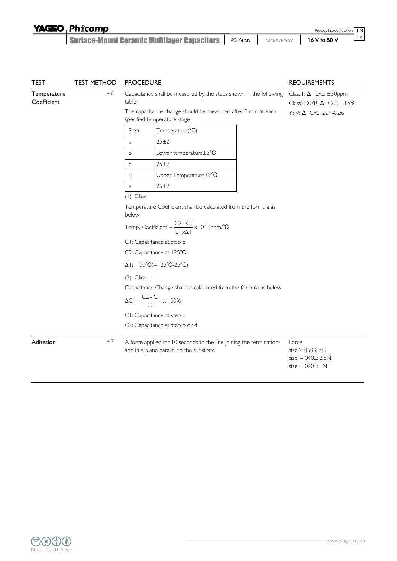| <b>YAGEO Phicomp</b> |
|----------------------|
|----------------------|

Surface-Mount Ceramic Multilayer Capacitors 4C-Array NP0/X7R/Y5V **16 V to 50 V**

13 17 Product specification

| <b>TEST</b>                | <b>TEST METHOD</b> | <b>PROCEDURE</b>         |                                                                                                                                                                    | <b>REQUIREMENTS</b>                                                                                 |  |  |
|----------------------------|--------------------|--------------------------|--------------------------------------------------------------------------------------------------------------------------------------------------------------------|-----------------------------------------------------------------------------------------------------|--|--|
| Temperature<br>Coefficient | 4.6                | table.                   | Capacitance shall be measured by the steps shown in the following<br>The capacitance change should be measured after 5 min at each<br>specified temperature stage. | Class I: $\Delta$ C/C: $\pm 30$ ppm<br>Class2: $X7R: \Delta$ C/C: $\pm 15\%$<br>Y5V: Δ C/C: 22~-82% |  |  |
|                            |                    | Step                     | Temperature(°C)                                                                                                                                                    |                                                                                                     |  |  |
|                            |                    | a                        | $25 + 2$                                                                                                                                                           |                                                                                                     |  |  |
|                            |                    | b                        | Lower temperature±3°C                                                                                                                                              |                                                                                                     |  |  |
|                            |                    | $\mathsf C$              | 25±2                                                                                                                                                               |                                                                                                     |  |  |
|                            |                    | d                        | Upper Temperature±2°C                                                                                                                                              |                                                                                                     |  |  |
|                            |                    | e                        | $25 + 2$                                                                                                                                                           |                                                                                                     |  |  |
|                            |                    | $(1)$ Class I            |                                                                                                                                                                    |                                                                                                     |  |  |
|                            |                    | below                    | Temperature Coefficient shall be calculated from the formula as                                                                                                    |                                                                                                     |  |  |
|                            |                    |                          | Temp, Coefficient = $\frac{C2 - C1}{C1 \times \Delta T} \times 10^6$ [ppm/°C]                                                                                      |                                                                                                     |  |  |
|                            |                    |                          | CI: Capacitance at step c                                                                                                                                          |                                                                                                     |  |  |
|                            |                    | C2: Capacitance at 125°C |                                                                                                                                                                    |                                                                                                     |  |  |
|                            |                    |                          | $\Delta T$ : $100^{\circ}C = 125^{\circ}C - 25^{\circ}C$                                                                                                           |                                                                                                     |  |  |
|                            |                    | $(2)$ Class II           |                                                                                                                                                                    |                                                                                                     |  |  |
|                            |                    |                          | Capacitance Change shall be calculated from the formula as below                                                                                                   |                                                                                                     |  |  |
|                            |                    |                          | $\Delta C = \frac{C2 - C1}{C1} \times 100\%$                                                                                                                       |                                                                                                     |  |  |
|                            |                    |                          | CI: Capacitance at step c                                                                                                                                          |                                                                                                     |  |  |
|                            |                    |                          | C2: Capacitance at step b or d                                                                                                                                     |                                                                                                     |  |  |
| Adhesion                   | 4.7                |                          | A force applied for 10 seconds to the line joining the terminations<br>and in a plane parallel to the substrate                                                    | Force<br>size $\geq$ 0603: 5N<br>$size = 0402: 2.5N$<br>$size = 0201:1N$                            |  |  |

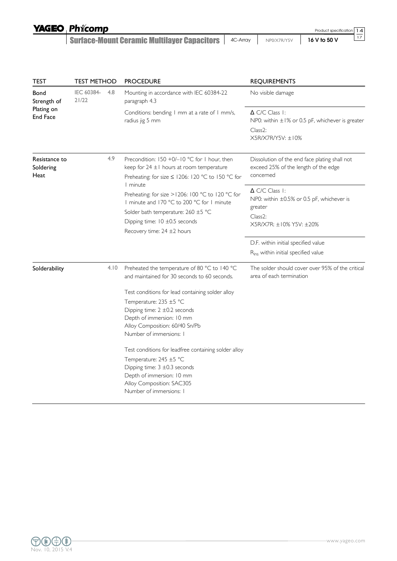Surface-Mount Ceramic Multilayer Capacitors 4C-Array NP0/X7R/Y5V **16 V to 50 V**

Product specification

14 17

| TEST                               | TEST METHOD         |                                                                                                                                                              | <b>PROCEDURE</b>                                                                                                                                                                                                                                                                                                                                                                                                      | <b>REQUIREMENTS</b>                                                                                                                    |
|------------------------------------|---------------------|--------------------------------------------------------------------------------------------------------------------------------------------------------------|-----------------------------------------------------------------------------------------------------------------------------------------------------------------------------------------------------------------------------------------------------------------------------------------------------------------------------------------------------------------------------------------------------------------------|----------------------------------------------------------------------------------------------------------------------------------------|
| Bond<br>Strength of                | IEC 60384-<br>21/22 | 4.8                                                                                                                                                          | Mounting in accordance with IEC 60384-22<br>paragraph 4.3                                                                                                                                                                                                                                                                                                                                                             | No visible damage                                                                                                                      |
| Plating on<br><b>End Face</b>      |                     |                                                                                                                                                              | Conditions: bending I mm at a rate of I mm/s,<br>radius jig 5 mm                                                                                                                                                                                                                                                                                                                                                      | $\Delta$ C/C Class 1:<br>NP0: within $\pm 1\%$ or 0.5 pF, whichever is greater                                                         |
|                                    |                     |                                                                                                                                                              |                                                                                                                                                                                                                                                                                                                                                                                                                       | Class <sub>2</sub> :<br>X5R/X7R/Y5V: ±10%                                                                                              |
| Resistance to<br>Soldering<br>Heat |                     | 4.9<br>Precondition: $150 + 0/-10$ °C for 1 hour, then<br>keep for $24 \pm 1$ hours at room temperature<br>Preheating: for size ≤ 1206: 120 °C to 150 °C for |                                                                                                                                                                                                                                                                                                                                                                                                                       | Dissolution of the end face plating shall not<br>exceed 25% of the length of the edge<br>concemed                                      |
|                                    | I minute            |                                                                                                                                                              | Preheating: for size > 1206: 100 °C to 120 °C for<br>I minute and 170 °C to 200 °C for I minute<br>Solder bath temperature: $260 \pm 5$ °C<br>Dipping time: 10 ±0.5 seconds<br>Recovery time: $24 \pm 2$ hours                                                                                                                                                                                                        | $\Delta$ C/C Class 1:<br>NP0: within $\pm 0.5\%$ or 0.5 pF, whichever is<br>greater<br>Class <sub>2</sub> :<br>X5R/X7R: ±10% Y5V: ±20% |
|                                    |                     |                                                                                                                                                              |                                                                                                                                                                                                                                                                                                                                                                                                                       | D.F. within initial specified value<br>R <sub>ins</sub> within initial specified value                                                 |
| Solderability                      |                     | 4.10                                                                                                                                                         | Preheated the temperature of 80 °C to 140 °C<br>and maintained for 30 seconds to 60 seconds.                                                                                                                                                                                                                                                                                                                          | The solder should cover over 95% of the critical<br>area of each termination                                                           |
|                                    |                     |                                                                                                                                                              | Test conditions for lead containing solder alloy<br>Temperature: 235 ±5 °C<br>Dipping time: $2 \pm 0.2$ seconds<br>Depth of immersion: 10 mm<br>Alloy Composition: 60/40 Sn/Pb<br>Number of immersions: I<br>Test conditions for leadfree containing solder alloy<br>Temperature: 245 ±5 °C<br>Dipping time: $3 \pm 0.3$ seconds<br>Depth of immersion: 10 mm<br>Alloy Composition: SAC305<br>Number of immersions: I |                                                                                                                                        |

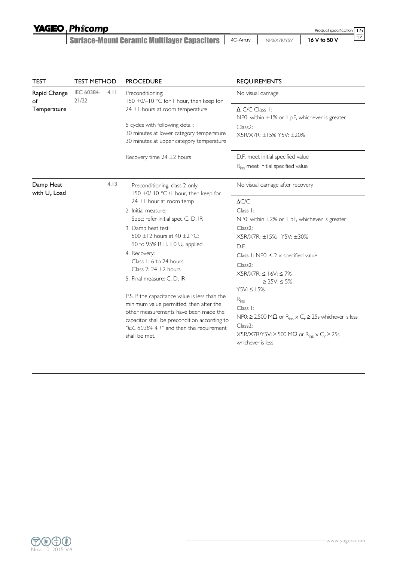Surface-Mount Ceramic Multilayer Capacitors 4C-Array NP0/X7R/Y5V **16 V to 50 V**

Product specification

15 17

| <b>TEST</b>                  | <b>TEST METHOD</b>         |      | <b>PROCEDURE</b>                                                                                                                                                                                                                                |                                                                                                                                                                                                                                                            |  | <b>REQUIREMENTS</b> |  |
|------------------------------|----------------------------|------|-------------------------------------------------------------------------------------------------------------------------------------------------------------------------------------------------------------------------------------------------|------------------------------------------------------------------------------------------------------------------------------------------------------------------------------------------------------------------------------------------------------------|--|---------------------|--|
| Rapid Change<br>of           | IEC 60384-<br>21/22        | 4.11 | Preconditioning;<br>150 +0/-10 °C for 1 hour, then keep for                                                                                                                                                                                     | No visual damage                                                                                                                                                                                                                                           |  |                     |  |
| Temperature                  |                            |      | $24 \pm 1$ hours at room temperature                                                                                                                                                                                                            | $\triangle$ C/C Class 1:<br>NP0: within $\pm 1\%$ or 1 pF, whichever is greater                                                                                                                                                                            |  |                     |  |
|                              |                            |      | 5 cycles with following detail:<br>30 minutes at lower category temperature<br>30 minutes at upper category temperature                                                                                                                         | Class <sub>2</sub> :<br>X5R/X7R: ±15% Y5V: ±20%                                                                                                                                                                                                            |  |                     |  |
|                              |                            |      | Recovery time $24 \pm 2$ hours                                                                                                                                                                                                                  | D.F. meet initial specified value                                                                                                                                                                                                                          |  |                     |  |
|                              |                            |      |                                                                                                                                                                                                                                                 | R <sub>ins</sub> meet initial specified value                                                                                                                                                                                                              |  |                     |  |
| Damp Heat<br>with $U_r$ Load |                            | 4.13 | I. Preconditioning, class 2 only:<br>150 +0/-10 °C /1 hour, then keep for                                                                                                                                                                       | No visual damage after recovery                                                                                                                                                                                                                            |  |                     |  |
|                              |                            |      | $24 \pm 1$ hour at room temp                                                                                                                                                                                                                    | $\Delta C/C$                                                                                                                                                                                                                                               |  |                     |  |
|                              |                            |      | 2. Initial measure:                                                                                                                                                                                                                             | Class I:                                                                                                                                                                                                                                                   |  |                     |  |
|                              |                            |      | Spec: refer initial spec C, D, IR                                                                                                                                                                                                               | NP0: within ±2% or 1 pF, whichever is greater                                                                                                                                                                                                              |  |                     |  |
|                              |                            |      | 3. Damp heat test:                                                                                                                                                                                                                              | Class <sub>2</sub> :                                                                                                                                                                                                                                       |  |                     |  |
|                              |                            |      | 500 ±12 hours at 40 ±2 °C;<br>90 to 95% R.H. 1.0 U <sub>r</sub> applied                                                                                                                                                                         | X5R/X7R: ±15%; Y5V: ±30%                                                                                                                                                                                                                                   |  |                     |  |
|                              |                            |      | 4. Recovery:                                                                                                                                                                                                                                    | D.F.                                                                                                                                                                                                                                                       |  |                     |  |
|                              |                            |      | Class 1: 6 to 24 hours                                                                                                                                                                                                                          | Class 1: NP0: $\leq$ 2 x specified value                                                                                                                                                                                                                   |  |                     |  |
|                              |                            |      | Class 2: $24 \pm 2$ hours                                                                                                                                                                                                                       | Class <sub>2</sub> :                                                                                                                                                                                                                                       |  |                     |  |
|                              | 5. Final measure: C, D, IR |      | $X5R/ X7R: \leq 16V: \leq 7%$<br>≥ 25V: ≤ 5%                                                                                                                                                                                                    |                                                                                                                                                                                                                                                            |  |                     |  |
|                              |                            |      | P.S. If the capacitance value is less than the<br>minimum value permitted, then after the<br>other measurements have been made the<br>capacitor shall be precondition according to<br>"IEC 60384 4.1" and then the requirement<br>shall be met. | $Y5V: \leq 15%$<br>$R_{ins}$<br>Class 1:<br>NP0: $\geq$ 2,500 MΩ or R <sub>ins</sub> $\times$ C <sub>r</sub> $\geq$ 25s whichever is less<br>Class <sub>2</sub> :<br>$X5R/X7R/Y5V: \geq 500 M\Omega$ or $R_{ins} \times C_r \geq 25s$<br>whichever is less |  |                     |  |

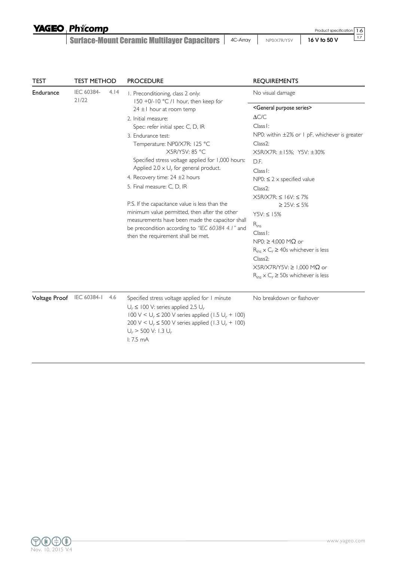Surface-Mount Ceramic Multilayer Capacitors 4C-Array NP0/X7R/Y5V **16 V to 50 V**

| <b>TEST</b>      | <b>TEST METHOD</b>  |      | <b>PROCEDURE</b>                                                                                                                                                                                                                                                                                                                                                                                                                                                                                                                                                                                                                                                                   | <b>REQUIREMENTS</b>                                                                                                                                                                                                                                                                                                                                                                                                                                                                                                                                                                                                                                                                                                                  |
|------------------|---------------------|------|------------------------------------------------------------------------------------------------------------------------------------------------------------------------------------------------------------------------------------------------------------------------------------------------------------------------------------------------------------------------------------------------------------------------------------------------------------------------------------------------------------------------------------------------------------------------------------------------------------------------------------------------------------------------------------|--------------------------------------------------------------------------------------------------------------------------------------------------------------------------------------------------------------------------------------------------------------------------------------------------------------------------------------------------------------------------------------------------------------------------------------------------------------------------------------------------------------------------------------------------------------------------------------------------------------------------------------------------------------------------------------------------------------------------------------|
| <b>Endurance</b> | IEC 60384-<br>21/22 | 4.14 | I. Preconditioning, class 2 only:<br>150 +0/-10 °C /1 hour, then keep for<br>$24 \pm 1$ hour at room temp<br>2. Initial measure:<br>Spec: refer initial spec C, D, IR<br>3. Endurance test:<br>Temperature: NP0/X7R: 125 °C<br>X5R/Y5V: 85 °C<br>Specified stress voltage applied for 1,000 hours:<br>Applied 2.0 $\times$ U <sub>r</sub> for general product.<br>4. Recovery time: $24 \pm 2$ hours<br>5. Final measure: C, D, IR<br>P.S. If the capacitance value is less than the<br>minimum value permitted, then after the other<br>measurements have been made the capacitor shall<br>be precondition according to "IEC 60384 4.1" and<br>then the requirement shall be met. | No visual damage<br><general purpose="" series=""><br/><math>\Delta C/C</math><br/>Class I:<br/>NP0: within <math>\pm 2\%</math> or 1 pF, whichever is greater<br/><math>Class2</math>:<br/>X5R/X7R: ±15%; Y5V: ±30%<br/>D.F.<br/>Class I:<br/>NP0: <math>\leq</math> 2 <math>\times</math> specified value<br/>Class2:<br/><math>X5R/ X7R: \leq 16V: \leq 7%</math><br/>≥ 25V: ≤ 5%<br/><math>Y5V: \leq 15%</math><br/><math>R_{ins}</math><br/>Class<sub>I</sub>:<br/><math>NP0: \geq 4,000 MA</math> or<br/><math>R_{ins} \times C_r \ge 40</math>s whichever is less<br/>Class<sub>2</sub>:<br/><math>X5R/X7R/Y5V: \geq 1,000 M\Omega</math> or<br/><math>R_{ins}</math> × <math>C_r \geq 50</math>s whichever is less</general> |
| Voltage Proof    | IEC 60384-1         | 4.6  | Specified stress voltage applied for 1 minute<br>$U_r \leq 100$ V: series applied 2.5 $U_r$<br>$100 \text{ V} < U_r \le 200 \text{ V}$ series applied (1.5 $U_r$ + 100)<br>200 V < $U_r \le 500$ V series applied (1.3 $U_r$ + 100)<br>$U_r$ > 500 V: 1.3 $U_r$<br>1:7.5mA                                                                                                                                                                                                                                                                                                                                                                                                         | No breakdown or flashover                                                                                                                                                                                                                                                                                                                                                                                                                                                                                                                                                                                                                                                                                                            |



17